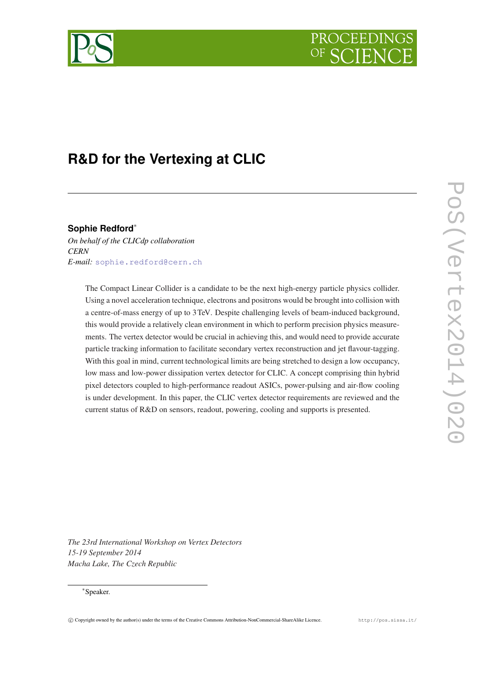



# **R&D for the Vertexing at CLIC**

**Sophie Redford**<sup>∗</sup>

*On behalf of the CLICdp collaboration CERN E-mail:* [sophie.redford@cern.ch](mailto:sophie.redford@cern.ch)

> The Compact Linear Collider is a candidate to be the next high-energy particle physics collider. Using a novel acceleration technique, electrons and positrons would be brought into collision with a centre-of-mass energy of up to 3TeV. Despite challenging levels of beam-induced background, this would provide a relatively clean environment in which to perform precision physics measurements. The vertex detector would be crucial in achieving this, and would need to provide accurate particle tracking information to facilitate secondary vertex reconstruction and jet flavour-tagging. With this goal in mind, current technological limits are being stretched to design a low occupancy, low mass and low-power dissipation vertex detector for CLIC. A concept comprising thin hybrid pixel detectors coupled to high-performance readout ASICs, power-pulsing and air-flow cooling is under development. In this paper, the CLIC vertex detector requirements are reviewed and the current status of R&D on sensors, readout, powering, cooling and supports is presented.

*The 23rd International Workshop on Vertex Detectors 15-19 September 2014 Macha Lake, The Czech Republic*

# ∗ Speaker.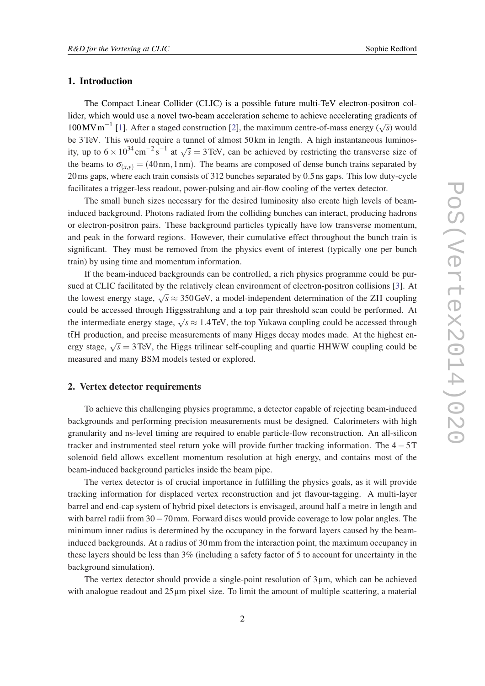### <span id="page-1-0"></span>1. Introduction

The Compact Linear Collider (CLIC) is a possible future multi-TeV electron-positron collider, which would use a novel two-beam acceleration scheme to achieve accelerating gradients of 100 MV m<sup>-1</sup> [\[1\]](#page-7-0). After a staged construction [\[2\]](#page-7-0), the maximum centre-of-mass energy ( $\sqrt{s}$ ) would be 3TeV. This would require a tunnel of almost 50 km in length. A high instantaneous luminosity, up to  $6 \times 10^{34}$  cm<sup>-2</sup>s<sup>-1</sup> at  $\sqrt{s} = 3$  TeV, can be achieved by restricting the transverse size of the beams to  $\sigma_{(x,y)} = (40 \text{ nm}, 1 \text{ nm})$ . The beams are composed of dense bunch trains separated by 20ms gaps, where each train consists of 312 bunches separated by 0.5 ns gaps. This low duty-cycle facilitates a trigger-less readout, power-pulsing and air-flow cooling of the vertex detector.

The small bunch sizes necessary for the desired luminosity also create high levels of beaminduced background. Photons radiated from the colliding bunches can interact, producing hadrons or electron-positron pairs. These background particles typically have low transverse momentum, and peak in the forward regions. However, their cumulative effect throughout the bunch train is significant. They must be removed from the physics event of interest (typically one per bunch train) by using time and momentum information.

If the beam-induced backgrounds can be controlled, a rich physics programme could be pursued at CLIC facilitated by the relatively clean environment of electron-positron collisions [\[3\]](#page-7-0). At the lowest energy stage,  $\sqrt{s} \approx 350 \text{ GeV}$ , a model-independent determination of the ZH coupling could be accessed through Higgsstrahlung and a top pair threshold scan could be performed. At the intermediate energy stage,  $\sqrt{s} \approx 1.4$  TeV, the top Yukawa coupling could be accessed through  $t\bar{t}H$  production, and precise measurements of many Higgs decay modes made. At the highest energy stage,  $\sqrt{s} = 3$  TeV, the Higgs trilinear self-coupling and quartic HHWW coupling could be measured and many BSM models tested or explored.

# 2. Vertex detector requirements

To achieve this challenging physics programme, a detector capable of rejecting beam-induced backgrounds and performing precision measurements must be designed. Calorimeters with high granularity and ns-level timing are required to enable particle-flow reconstruction. An all-silicon tracker and instrumented steel return yoke will provide further tracking information. The  $4 - 5T$ solenoid field allows excellent momentum resolution at high energy, and contains most of the beam-induced background particles inside the beam pipe.

The vertex detector is of crucial importance in fulfilling the physics goals, as it will provide tracking information for displaced vertex reconstruction and jet flavour-tagging. A multi-layer barrel and end-cap system of hybrid pixel detectors is envisaged, around half a metre in length and with barrel radii from 30−70mm. Forward discs would provide coverage to low polar angles. The minimum inner radius is determined by the occupancy in the forward layers caused by the beaminduced backgrounds. At a radius of 30mm from the interaction point, the maximum occupancy in these layers should be less than 3% (including a safety factor of 5 to account for uncertainty in the background simulation).

The vertex detector should provide a single-point resolution of  $3\mu$ m, which can be achieved with analogue readout and  $25 \mu m$  pixel size. To limit the amount of multiple scattering, a material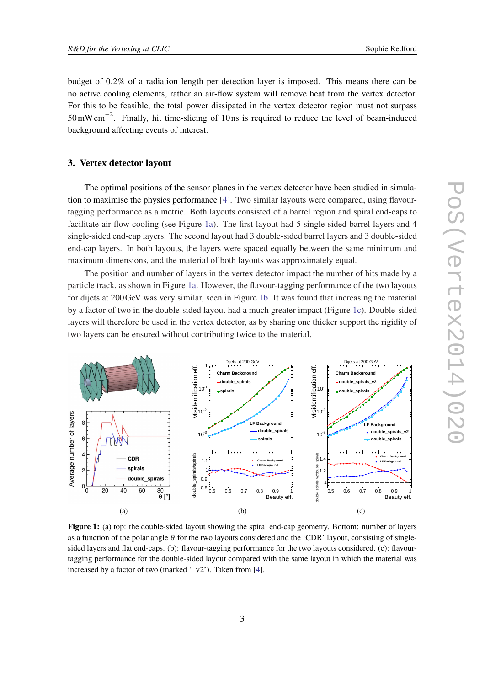budget of 0.2% of a radiation length per detection layer is imposed. This means there can be no active cooling elements, rather an air-flow system will remove heat from the vertex detector. For this to be feasible, the total power dissipated in the vertex detector region must not surpass  $50 \text{ mW cm}^{-2}$ . Finally, hit time-slicing of 10 ns is required to reduce the level of beam-induced background affecting events of interest.

#### 3. Vertex detector layout

The optimal positions of the sensor planes in the vertex detector have been studied in simulation to maximise the physics performance [\[4\]](#page-7-0). Two similar layouts were compared, using flavourtagging performance as a metric. Both layouts consisted of a barrel region and spiral end-caps to facilitate air-flow cooling (see Figure 1a). The first layout had 5 single-sided barrel layers and 4 single-sided end-cap layers. The second layout had 3 double-sided barrel layers and 3 double-sided end-cap layers. In both layouts, the layers were spaced equally between the same minimum and maximum dimensions, and the material of both layouts was approximately equal.

The position and number of layers in the vertex detector impact the number of hits made by a particle track, as shown in Figure 1a. However, the flavour-tagging performance of the two layouts for dijets at 200GeV was very similar, seen in Figure 1b. It was found that increasing the material by a factor of two in the double-sided layout had a much greater impact (Figure 1c). Double-sided layers will therefore be used in the vertex detector, as by sharing one thicker support the rigidity of two layers can be ensured without contributing twice to the material.



Figure 1: (a) top: the double-sided layout showing the spiral end-cap geometry. Bottom: number of layers as a function of the polar angle  $\theta$  for the two layouts considered and the 'CDR' layout, consisting of singlesided layers and flat end-caps. (b): flavour-tagging performance for the two layouts considered. (c): flavourtagging performance for the double-sided layout compared with the same layout in which the material was increased by a factor of two (marked  $\cdot y^2$ ). Taken from [\[4](#page-7-0)].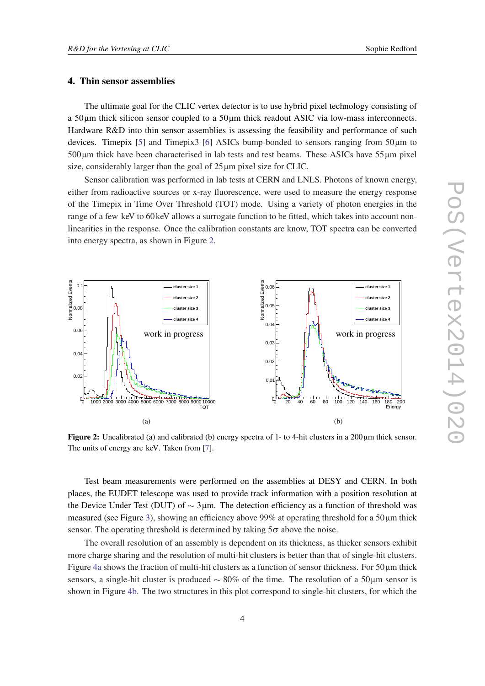#### 4. Thin sensor assemblies

The ultimate goal for the CLIC vertex detector is to use hybrid pixel technology consisting of a 50µm thick silicon sensor coupled to a 50µm thick readout ASIC via low-mass interconnects. Hardware R&D into thin sensor assemblies is assessing the feasibility and performance of such devices. Timepix [[5](#page-7-0)] and Timepix3 [[6](#page-7-0)] ASICs bump-bonded to sensors ranging from  $50\mu$ m to 500µm thick have been characterised in lab tests and test beams. These ASICs have 55µm pixel size, considerably larger than the goal of  $25 \mu m$  pixel size for CLIC.

Sensor calibration was performed in lab tests at CERN and LNLS. Photons of known energy, either from radioactive sources or x-ray fluorescence, were used to measure the energy response of the Timepix in Time Over Threshold (TOT) mode. Using a variety of photon energies in the range of a few keV to 60 keV allows a surrogate function to be fitted, which takes into account nonlinearities in the response. Once the calibration constants are know, TOT spectra can be converted into energy spectra, as shown in Figure 2.



Figure 2: Uncalibrated (a) and calibrated (b) energy spectra of 1- to 4-hit clusters in a 200µm thick sensor. The units of energy are keV. Taken from [[7\]](#page-7-0).

Test beam measurements were performed on the assemblies at DESY and CERN. In both places, the EUDET telescope was used to provide track information with a position resolution at the Device Under Test (DUT) of  $\sim$  3µm. The detection efficiency as a function of threshold was measured (see Figure [3](#page-4-0)), showing an efficiency above 99% at operating threshold for a  $50 \mu m$  thick sensor. The operating threshold is determined by taking  $5\sigma$  above the noise.

The overall resolution of an assembly is dependent on its thickness, as thicker sensors exhibit more charge sharing and the resolution of multi-hit clusters is better than that of single-hit clusters. Figure [4a](#page-4-0) shows the fraction of multi-hit clusters as a function of sensor thickness. For 50µm thick sensors, a single-hit cluster is produced  $\sim$  80% of the time. The resolution of a 50µm sensor is shown in Figure [4b.](#page-4-0) The two structures in this plot correspond to single-hit clusters, for which the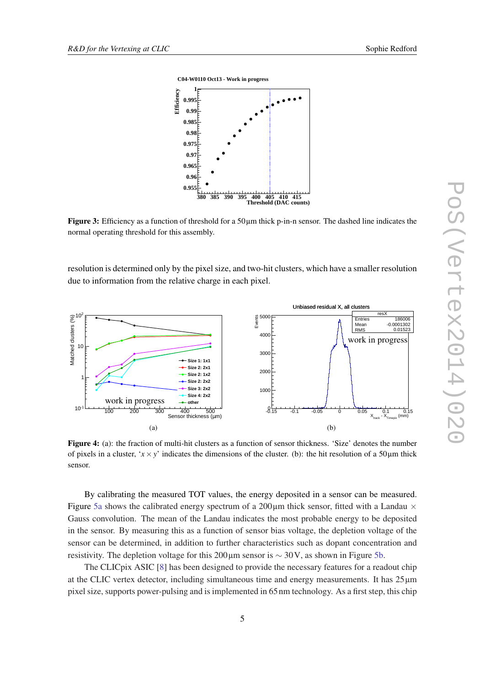<span id="page-4-0"></span>

**Figure 3:** Efficiency as a function of threshold for a  $50 \mu m$  thick p-in-n sensor. The dashed line indicates the normal operating threshold for this assembly.

resolution is determined only by the pixel size, and two-hit clusters, which have a smaller resolution due to information from the relative charge in each pixel.



Figure 4: (a): the fraction of multi-hit clusters as a function of sensor thickness. 'Size' denotes the number of pixels in a cluster, ' $x \times y$ ' indicates the dimensions of the cluster. (b): the hit resolution of a 50 $\mu$ m thick sensor.

By calibrating the measured TOT values, the energy deposited in a sensor can be measured. Figure [5a](#page-5-0) shows the calibrated energy spectrum of a 200 $\mu$ m thick sensor, fitted with a Landau  $\times$ Gauss convolution. The mean of the Landau indicates the most probable energy to be deposited in the sensor. By measuring this as a function of sensor bias voltage, the depletion voltage of the sensor can be determined, in addition to further characteristics such as dopant concentration and resistivity. The depletion voltage for this 200µm sensor is  $\sim$  30V, as shown in Figure [5b.](#page-5-0)

The CLICpix ASIC [[8](#page-7-0)] has been designed to provide the necessary features for a readout chip at the CLIC vertex detector, including simultaneous time and energy measurements. It has 25µm pixel size, supports power-pulsing and is implemented in 65 nm technology. As a first step, this chip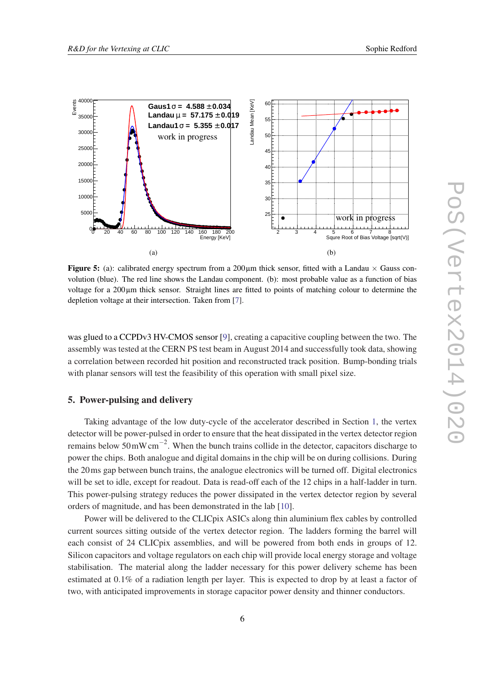<span id="page-5-0"></span>

Figure 5: (a): calibrated energy spectrum from a  $200 \mu m$  thick sensor, fitted with a Landau  $\times$  Gauss convolution (blue). The red line shows the Landau component. (b): most probable value as a function of bias voltage for a 200µm thick sensor. Straight lines are fitted to points of matching colour to determine the depletion voltage at their intersection. Taken from [[7\]](#page-7-0).

was glued to a CCPDv3 HV-CMOS sensor [[9](#page-7-0)], creating a capacitive coupling between the two. The assembly was tested at the CERN PS test beam in August 2014 and successfully took data, showing a correlation between recorded hit position and reconstructed track position. Bump-bonding trials with planar sensors will test the feasibility of this operation with small pixel size.

#### 5. Power-pulsing and delivery

Taking advantage of the low duty-cycle of the accelerator described in Section [1,](#page-1-0) the vertex detector will be power-pulsed in order to ensure that the heat dissipated in the vertex detector region remains below  $50 \text{ mW cm}^{-2}$ . When the bunch trains collide in the detector, capacitors discharge to power the chips. Both analogue and digital domains in the chip will be on during collisions. During the 20ms gap between bunch trains, the analogue electronics will be turned off. Digital electronics will be set to idle, except for readout. Data is read-off each of the 12 chips in a half-ladder in turn. This power-pulsing strategy reduces the power dissipated in the vertex detector region by several orders of magnitude, and has been demonstrated in the lab [\[10](#page-7-0)].

Power will be delivered to the CLICpix ASICs along thin aluminium flex cables by controlled current sources sitting outside of the vertex detector region. The ladders forming the barrel will each consist of 24 CLICpix assemblies, and will be powered from both ends in groups of 12. Silicon capacitors and voltage regulators on each chip will provide local energy storage and voltage stabilisation. The material along the ladder necessary for this power delivery scheme has been estimated at 0.1% of a radiation length per layer. This is expected to drop by at least a factor of two, with anticipated improvements in storage capacitor power density and thinner conductors.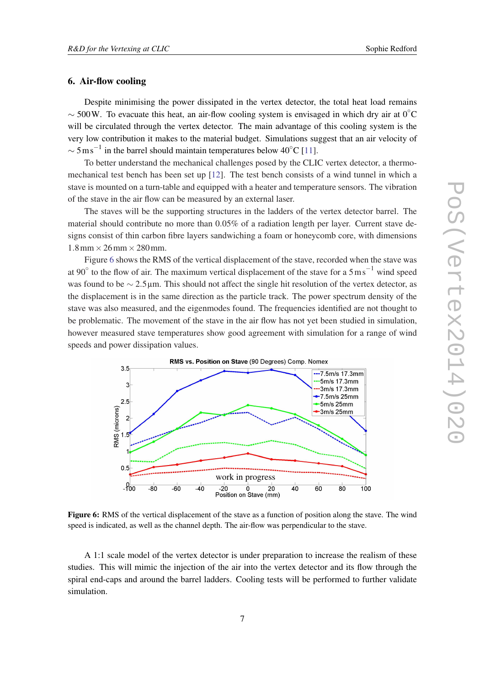# 6. Air-flow cooling

Despite minimising the power dissipated in the vertex detector, the total heat load remains  $\sim$  500W. To evacuate this heat, an air-flow cooling system is envisaged in which dry air at 0<sup>°</sup>C will be circulated through the vertex detector. The main advantage of this cooling system is the very low contribution it makes to the material budget. Simulations suggest that an air velocity of  $\sim 5 \,\mathrm{m\,s}^{-1}$  in the barrel should maintain temperatures below 40 $^{\circ}$ C [[11\]](#page-7-0).

To better understand the mechanical challenges posed by the CLIC vertex detector, a thermomechanical test bench has been set up [[12\]](#page-7-0). The test bench consists of a wind tunnel in which a stave is mounted on a turn-table and equipped with a heater and temperature sensors. The vibration of the stave in the air flow can be measured by an external laser.

The staves will be the supporting structures in the ladders of the vertex detector barrel. The material should contribute no more than 0.05% of a radiation length per layer. Current stave designs consist of thin carbon fibre layers sandwiching a foam or honeycomb core, with dimensions  $1.8 \text{ mm} \times 26 \text{ mm} \times 280 \text{ mm}.$ 

Figure 6 shows the RMS of the vertical displacement of the stave, recorded when the stave was at 90 $^{\circ}$  to the flow of air. The maximum vertical displacement of the stave for a  $5 \text{ ms}^{-1}$  wind speed was found to be ∼ 2.5µm. This should not affect the single hit resolution of the vertex detector, as the displacement is in the same direction as the particle track. The power spectrum density of the stave was also measured, and the eigenmodes found. The frequencies identified are not thought to be problematic. The movement of the stave in the air flow has not yet been studied in simulation, however measured stave temperatures show good agreement with simulation for a range of wind speeds and power dissipation values.



Figure 6: RMS of the vertical displacement of the stave as a function of position along the stave. The wind speed is indicated, as well as the channel depth. The air-flow was perpendicular to the stave.

A 1:1 scale model of the vertex detector is under preparation to increase the realism of these studies. This will mimic the injection of the air into the vertex detector and its flow through the spiral end-caps and around the barrel ladders. Cooling tests will be performed to further validate simulation.